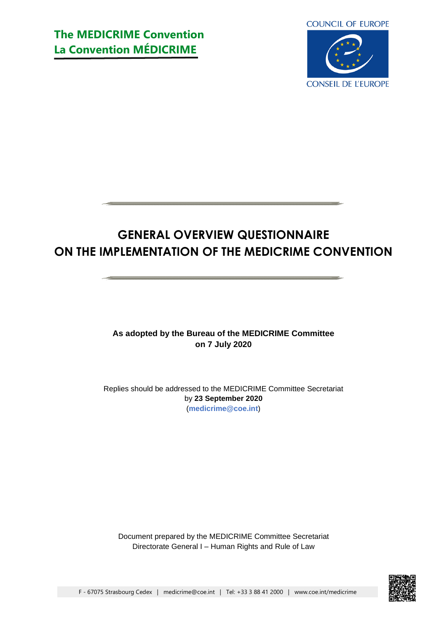# **The MEDICRIME Convention La Convention MÉDICRIME**



# **GENERAL OVERVIEW QUESTIONNAIRE ON THE IMPLEMENTATION OF THE MEDICRIME CONVENTION**

**As adopted by the Bureau of the MEDICRIME Committee on 7 July 2020**

Replies should be addressed to the MEDICRIME Committee Secretariat by **23 September 2020** (**[medicrime@coe.int](mailto:medicrime@coe.int)**)

Document prepared by the MEDICRIME Committee Secretariat Directorate General I – Human Rights and Rule of Law

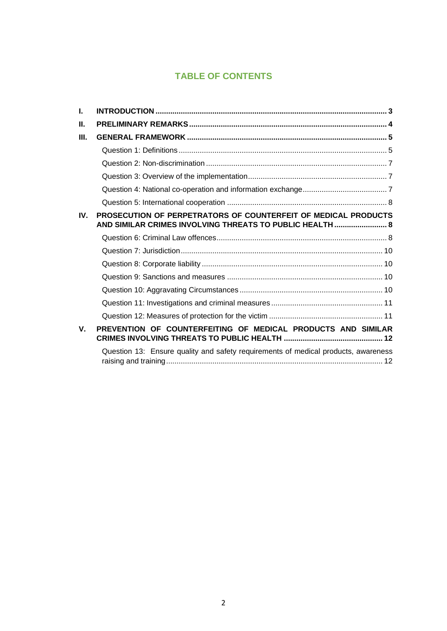# **TABLE OF CONTENTS**

| L.          |                                                                                                                            |
|-------------|----------------------------------------------------------------------------------------------------------------------------|
| Ш.          |                                                                                                                            |
| III.        |                                                                                                                            |
|             |                                                                                                                            |
|             |                                                                                                                            |
|             |                                                                                                                            |
|             |                                                                                                                            |
|             |                                                                                                                            |
| IV.         | PROSECUTION OF PERPETRATORS OF COUNTERFEIT OF MEDICAL PRODUCTS<br>AND SIMILAR CRIMES INVOLVING THREATS TO PUBLIC HEALTH  8 |
|             |                                                                                                                            |
|             |                                                                                                                            |
|             |                                                                                                                            |
|             |                                                                                                                            |
|             |                                                                                                                            |
|             |                                                                                                                            |
|             |                                                                                                                            |
| $V_{\rm r}$ | PREVENTION OF COUNTERFEITING OF MEDICAL PRODUCTS AND SIMILAR                                                               |
|             | Question 13: Ensure quality and safety requirements of medical products, awareness                                         |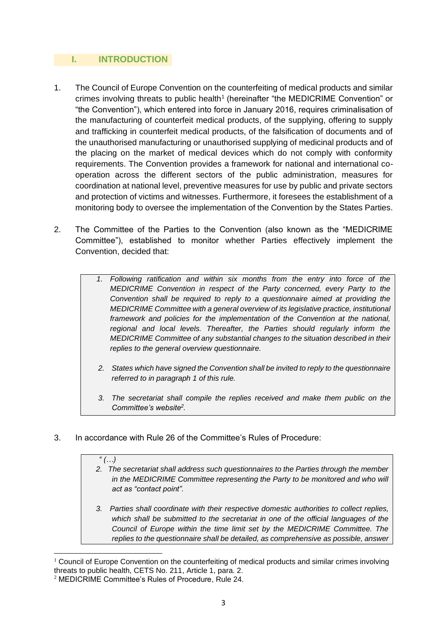## <span id="page-2-0"></span>**I. INTRODUCTION**

- 1. The Council of Europe Convention on the counterfeiting of medical products and similar crimes involving threats to public health<sup>1</sup> (hereinafter "the MEDICRIME Convention" or "the Convention"), which entered into force in January 2016, requires criminalisation of the manufacturing of counterfeit medical products, of the supplying, offering to supply and trafficking in counterfeit medical products, of the falsification of documents and of the unauthorised manufacturing or unauthorised supplying of medicinal products and of the placing on the market of medical devices which do not comply with conformity requirements. The Convention provides a framework for national and international cooperation across the different sectors of the public administration, measures for coordination at national level, preventive measures for use by public and private sectors and protection of victims and witnesses. Furthermore, it foresees the establishment of a monitoring body to oversee the implementation of the Convention by the States Parties.
- 2. The Committee of the Parties to the Convention (also known as the "MEDICRIME Committee"), established to monitor whether Parties effectively implement the Convention, decided that:
	- *1. Following ratification and within six months from the entry into force of the MEDICRIME Convention in respect of the Party concerned, every Party to the Convention shall be required to reply to a questionnaire aimed at providing the MEDICRIME Committee with a general overview of its legislativepractice, institutional framework and policies for the implementation of the Convention at the national, regional and local levels. Thereafter, the Parties should regularly inform the MEDICRIME Committee of any substantial changes to the situation described in their replies to the general overview questionnaire.*
	- *2. States which have signed the Convention shall be invited to reply to the questionnaire referred to in paragraph 1 of this rule.*
	- *3. The secretariat shall compile the replies received and make them public on the Committee's website<sup>2</sup> .*
- 3. In accordance with Rule 26 of the Committee's Rules of Procedure:

## *" (…)*

- *2. The secretariat shall address such questionnaires to the Parties through the member in the MEDICRIME Committee representing the Party to be monitored and who will act as "contact point".*
- *3. Parties shall coordinate with their respective domestic authorities to collect replies, which shall be submitted to the secretariat in one of the official languages of the Council of Europe within the time limit set by the MEDICRIME Committee. The replies to the questionnaire shall be detailed, as comprehensive as possible, answer*

 $1$  Council of Europe Convention on the counterfeiting of medical products and similar crimes involving threats to public health, CETS No. 211, Article 1, para. 2.

<sup>2</sup> MEDICRIME Committee's Rules of Procedure, Rule 24.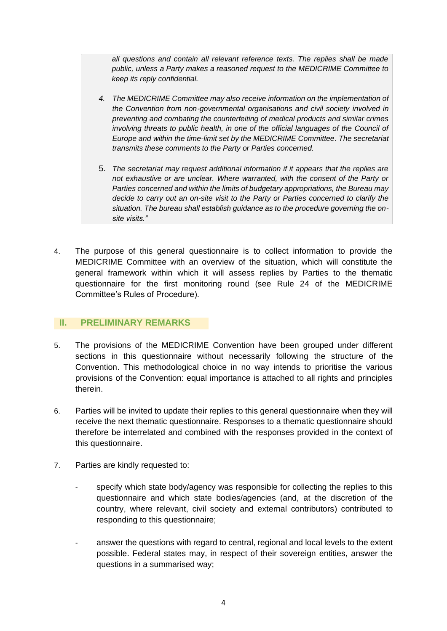*all questions and contain all relevant reference texts. The replies shall be made public, unless a Party makes a reasoned request to the MEDICRIME Committee to keep its reply confidential.*

- *4. The MEDICRIME Committee may also receive information on the implementation of the Convention from non*‐*governmental organisations and civil society involved in preventing and combating the counterfeiting of medical products and similar crimes involving threats to public health, in one of the official languages of the Council of Europe and within the time-limit set by the MEDICRIME Committee. The secretariat transmits these comments to the Party or Parties concerned.*
- 5. *The secretariat may request additional information if it appears that the replies are not exhaustive or are unclear. Where warranted, with the consent of the Party or Parties concerned and within the limits of budgetary appropriations, the Bureau may decide to carry out an on-site visit to the Party or Parties concerned to clarify the situation. The bureau shall establish guidance as to the procedure governing the onsite visits."*
- 4. The purpose of this general questionnaire is to collect information to provide the MEDICRIME Committee with an overview of the situation, which will constitute the general framework within which it will assess replies by Parties to the thematic questionnaire for the first monitoring round (see Rule 24 of the MEDICRIME Committee's Rules of Procedure).

## <span id="page-3-0"></span>**II. PRELIMINARY REMARKS**

- 5. The provisions of the MEDICRIME Convention have been grouped under different sections in this questionnaire without necessarily following the structure of the Convention. This methodological choice in no way intends to prioritise the various provisions of the Convention: equal importance is attached to all rights and principles therein.
- 6. Parties will be invited to update their replies to this general questionnaire when they will receive the next thematic questionnaire. Responses to a thematic questionnaire should therefore be interrelated and combined with the responses provided in the context of this questionnaire.
- 7. Parties are kindly requested to:
	- specify which state body/agency was responsible for collecting the replies to this questionnaire and which state bodies/agencies (and, at the discretion of the country, where relevant, civil society and external contributors) contributed to responding to this questionnaire;
	- answer the questions with regard to central, regional and local levels to the extent possible. Federal states may, in respect of their sovereign entities, answer the questions in a summarised way;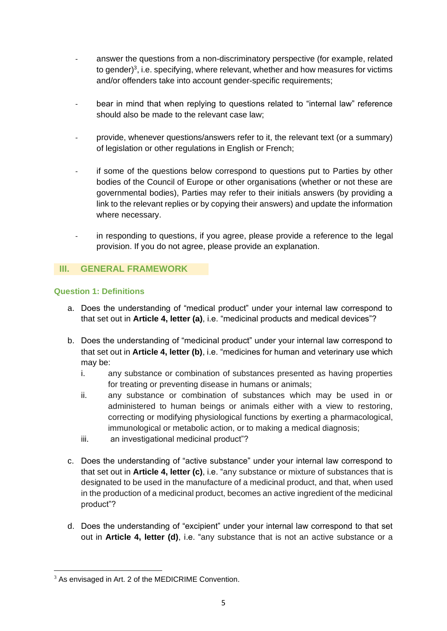- answer the questions from a non-discriminatory perspective (for example, related to gender) 3 , i.e. specifying, where relevant, whether and how measures for victims and/or offenders take into account gender-specific requirements;
- bear in mind that when replying to questions related to "internal law" reference should also be made to the relevant case law;
- provide, whenever questions/answers refer to it, the relevant text (or a summary) of legislation or other regulations in English or French;
- if some of the questions below correspond to questions put to Parties by other bodies of the Council of Europe or other organisations (whether or not these are governmental bodies), Parties may refer to their initials answers (by providing a link to the relevant replies or by copying their answers) and update the information where necessary.
- in responding to questions, if you agree, please provide a reference to the legal provision. If you do not agree, please provide an explanation.

## <span id="page-4-0"></span>**III. GENERAL FRAMEWORK**

## <span id="page-4-1"></span>**Question 1: Definitions**

- a. Does the understanding of "medical product" under your internal law correspond to that set out in **Article 4, letter (a)**, i.e. "medicinal products and medical devices"?
- b. Does the understanding of "medicinal product" under your internal law correspond to that set out in **Article 4, letter (b)**, i.e. "medicines for human and veterinary use which may be:
	- i. any substance or combination of substances presented as having properties for treating or preventing disease in humans or animals;
	- ii. any substance or combination of substances which may be used in or administered to human beings or animals either with a view to restoring, correcting or modifying physiological functions by exerting a pharmacological, immunological or metabolic action, or to making a medical diagnosis;
	- iii. an investigational medicinal product"?
- c. Does the understanding of "active substance" under your internal law correspond to that set out in **Article 4, letter (c)**, i.e. "any substance or mixture of substances that is designated to be used in the manufacture of a medicinal product, and that, when used in the production of a medicinal product, becomes an active ingredient of the medicinal product"?
- d. Does the understanding of "excipient" under your internal law correspond to that set out in **Article 4, letter (d)**, i.e. "any substance that is not an active substance or a

<sup>&</sup>lt;sup>3</sup> As envisaged in Art. 2 of the MEDICRIME Convention.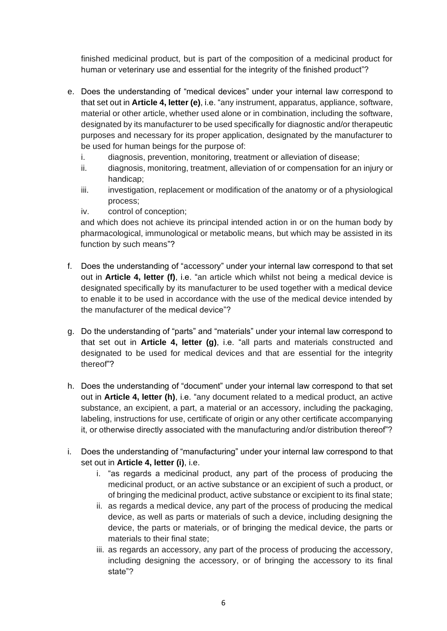finished medicinal product, but is part of the composition of a medicinal product for human or veterinary use and essential for the integrity of the finished product"?

- e. Does the understanding of "medical devices" under your internal law correspond to that set out in **Article 4, letter (e)**, i.e. "any instrument, apparatus, appliance, software, material or other article, whether used alone or in combination, including the software, designated by its manufacturer to be used specifically for diagnostic and/or therapeutic purposes and necessary for its proper application, designated by the manufacturer to be used for human beings for the purpose of:
	- i. diagnosis, prevention, monitoring, treatment or alleviation of disease;
	- ii. diagnosis, monitoring, treatment, alleviation of or compensation for an injury or handicap;
	- iii. investigation, replacement or modification of the anatomy or of a physiological process;
	- iv. control of conception;

and which does not achieve its principal intended action in or on the human body by pharmacological, immunological or metabolic means, but which may be assisted in its function by such means"?

- f. Does the understanding of "accessory" under your internal law correspond to that set out in **Article 4, letter (f)**, i.e. "an article which whilst not being a medical device is designated specifically by its manufacturer to be used together with a medical device to enable it to be used in accordance with the use of the medical device intended by the manufacturer of the medical device"?
- g. Do the understanding of "parts" and "materials" under your internal law correspond to that set out in **Article 4, letter (g)**, i.e. "all parts and materials constructed and designated to be used for medical devices and that are essential for the integrity thereof"?
- h. Does the understanding of "document" under your internal law correspond to that set out in **Article 4, letter (h)**, i.e. "any document related to a medical product, an active substance, an excipient, a part, a material or an accessory, including the packaging, labeling, instructions for use, certificate of origin or any other certificate accompanying it, or otherwise directly associated with the manufacturing and/or distribution thereof"?
- i. Does the understanding of "manufacturing" under your internal law correspond to that set out in **Article 4, letter (i)**, i.e.
	- i. "as regards a medicinal product, any part of the process of producing the medicinal product, or an active substance or an excipient of such a product, or of bringing the medicinal product, active substance or excipient to its final state;
	- ii. as regards a medical device, any part of the process of producing the medical device, as well as parts or materials of such a device, including designing the device, the parts or materials, or of bringing the medical device, the parts or materials to their final state;
	- iii. as regards an accessory, any part of the process of producing the accessory, including designing the accessory, or of bringing the accessory to its final state"?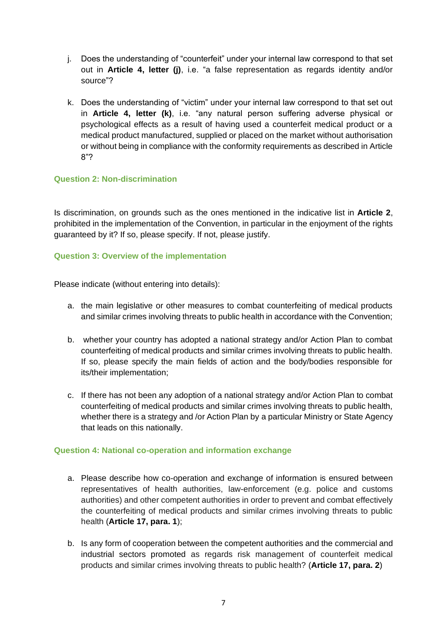- j. Does the understanding of "counterfeit" under your internal law correspond to that set out in **Article 4, letter (j)**, i.e. "a false representation as regards identity and/or source"?
- k. Does the understanding of "victim" under your internal law correspond to that set out in **Article 4, letter (k)**, i.e. "any natural person suffering adverse physical or psychological effects as a result of having used a counterfeit medical product or a medical product manufactured, supplied or placed on the market without authorisation or without being in compliance with the conformity requirements as described in Article 8"?

## <span id="page-6-0"></span>**Question 2: Non-discrimination**

Is discrimination, on grounds such as the ones mentioned in the indicative list in **Article 2**, prohibited in the implementation of the Convention, in particular in the enjoyment of the rights guaranteed by it? If so, please specify. If not, please justify.

## <span id="page-6-1"></span>**Question 3: Overview of the implementation**

Please indicate (without entering into details):

- a. the main legislative or other measures to combat counterfeiting of medical products and similar crimes involving threats to public health in accordance with the Convention;
- b. whether your country has adopted a national strategy and/or Action Plan to combat counterfeiting of medical products and similar crimes involving threats to public health. If so, please specify the main fields of action and the body/bodies responsible for its/their implementation;
- c. If there has not been any adoption of a national strategy and/or Action Plan to combat counterfeiting of medical products and similar crimes involving threats to public health, whether there is a strategy and /or Action Plan by a particular Ministry or State Agency that leads on this nationally.

## <span id="page-6-2"></span>**Question 4: National co-operation and information exchange**

- a. Please describe how co-operation and exchange of information is ensured between representatives of health authorities, law-enforcement (e.g. police and customs authorities) and other competent authorities in order to prevent and combat effectively the counterfeiting of medical products and similar crimes involving threats to public health (**Article 17, para. 1**);
- b. Is any form of cooperation between the competent authorities and the commercial and industrial sectors promoted as regards risk management of counterfeit medical products and similar crimes involving threats to public health? (**Article 17, para. 2**)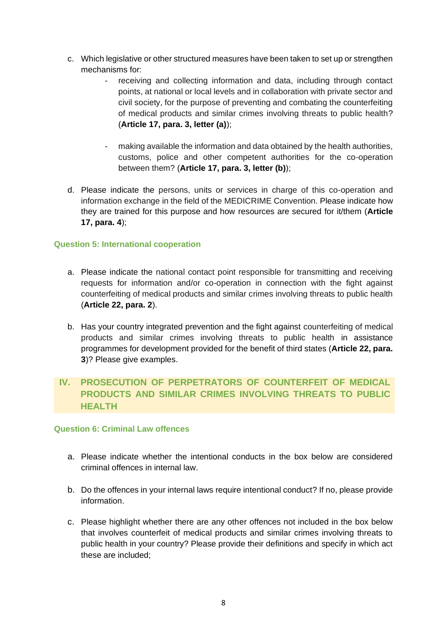- c. Which legislative or other structured measures have been taken to set up or strengthen mechanisms for:
	- receiving and collecting information and data, including through contact points, at national or local levels and in collaboration with private sector and civil society, for the purpose of preventing and combating the counterfeiting of medical products and similar crimes involving threats to public health? (**Article 17, para. 3, letter (a)**);
	- making available the information and data obtained by the health authorities, customs, police and other competent authorities for the co-operation between them? (**Article 17, para. 3, letter (b)**);
- d. Please indicate the persons, units or services in charge of this co-operation and information exchange in the field of the MEDICRIME Convention. Please indicate how they are trained for this purpose and how resources are secured for it/them (**Article 17, para. 4**);

## <span id="page-7-0"></span>**Question 5: International cooperation**

- a. Please indicate the national contact point responsible for transmitting and receiving requests for information and/or co-operation in connection with the fight against counterfeiting of medical products and similar crimes involving threats to public health (**Article 22, para. 2**).
- b. Has your country integrated prevention and the fight against counterfeiting of medical products and similar crimes involving threats to public health in assistance programmes for development provided for the benefit of third states (**Article 22, para. 3**)? Please give examples.

# <span id="page-7-1"></span>**IV. PROSECUTION OF PERPETRATORS OF COUNTERFEIT OF MEDICAL PRODUCTS AND SIMILAR CRIMES INVOLVING THREATS TO PUBLIC HEALTH**

## <span id="page-7-2"></span>**Question 6: Criminal Law offences**

- a. Please indicate whether the intentional conducts in the box below are considered criminal offences in internal law.
- b. Do the offences in your internal laws require intentional conduct? If no, please provide information.
- c. Please highlight whether there are any other offences not included in the box below that involves counterfeit of medical products and similar crimes involving threats to public health in your country? Please provide their definitions and specify in which act these are included;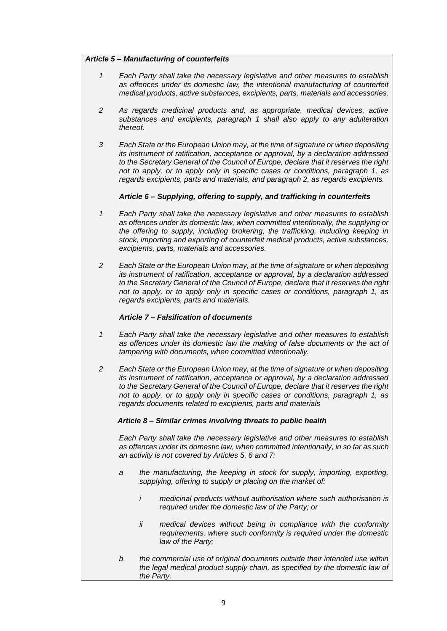#### *Article 5 – Manufacturing of counterfeits*

- *1 Each Party shall take the necessary legislative and other measures to establish as offences under its domestic law, the intentional manufacturing of counterfeit medical products, active substances, excipients, parts, materials and accessories.*
- *2 As regards medicinal products and, as appropriate, medical devices, active substances and excipients, paragraph 1 shall also apply to any adulteration thereof.*
- *3 Each State or the European Union may, at the time of signature or when depositing its instrument of ratification, acceptance or approval, by a declaration addressed to the Secretary General of the Council of Europe, declare that it reserves the right not to apply, or to apply only in specific cases or conditions, paragraph 1, as regards excipients, parts and materials, and paragraph 2, as regards excipients.*

#### *Article 6 – Supplying, offering to supply, and trafficking in counterfeits*

- *1 Each Party shall take the necessary legislative and other measures to establish as offences under its domestic law, when committed intentionally, the supplying or the offering to supply, including brokering, the trafficking, including keeping in stock, importing and exporting of counterfeit medical products, active substances, excipients, parts, materials and accessories.*
- *2 Each State or the European Union may, at the time of signature or when depositing its instrument of ratification, acceptance or approval, by a declaration addressed to the Secretary General of the Council of Europe, declare that it reserves the right not to apply, or to apply only in specific cases or conditions, paragraph 1, as regards excipients, parts and materials.*

#### *Article 7 – Falsification of documents*

- *1 Each Party shall take the necessary legislative and other measures to establish*  as offences under its domestic law the making of false documents or the act of *tampering with documents, when committed intentionally.*
- *2 Each State or the European Union may, at the time of signature or when depositing its instrument of ratification, acceptance or approval, by a declaration addressed to the Secretary General of the Council of Europe, declare that it reserves the right not to apply, or to apply only in specific cases or conditions, paragraph 1, as regards documents related to excipients, parts and materials*

#### *Article 8 – Similar crimes involving threats to public health*

*Each Party shall take the necessary legislative and other measures to establish as offences under its domestic law, when committed intentionally, in so far as such an activity is not covered by Articles 5, 6 and 7:*

- *a the manufacturing, the keeping in stock for supply, importing, exporting, supplying, offering to supply or placing on the market of:*
	- *i medicinal products without authorisation where such authorisation is required under the domestic law of the Party; or*
	- *ii medical devices without being in compliance with the conformity requirements, where such conformity is required under the domestic law of the Party;*
- *b the commercial use of original documents outside their intended use within the legal medical product supply chain, as specified by the domestic law of the Party.*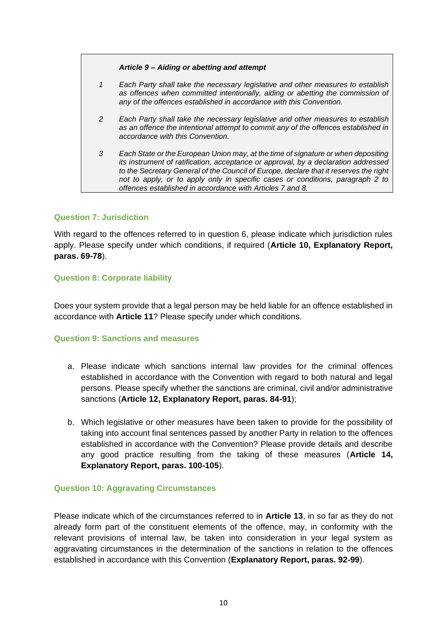#### *Article 9 – Aiding or abetting and attempt*

- *1 Each Party shall take the necessary legislative and other measures to establish as offences when committed intentionally, aiding or abetting the commission of any of the offences established in accordance with this Convention.*
- *2 Each Party shall take the necessary legislative and other measures to establish as an offence the intentional attempt to commit any of the offences established in accordance with this Convention.*
- *3 Each State or the European Union may, at the time of signature or when depositing its instrument of ratification, acceptance or approval, by a declaration addressed to the Secretary General of the Council of Europe, declare that it reserves the right not to apply, or to apply only in specific cases or conditions, paragraph 2 to offences established in accordance with Articles 7 and 8.*

## <span id="page-9-0"></span>**Question 7: Jurisdiction**

With regard to the offences referred to in question 6, please indicate which jurisdiction rules apply. Please specify under which conditions, if required (**Article 10, Explanatory Report, paras. 69-78**).

### <span id="page-9-1"></span>**Question 8: Corporate liability**

Does your system provide that a legal person may be held liable for an offence established in accordance with **Article 11**? Please specify under which conditions.

#### <span id="page-9-2"></span>**Question 9: Sanctions and measures**

- a. Please indicate which sanctions internal law provides for the criminal offences established in accordance with the Convention with regard to both natural and legal persons. Please specify whether the sanctions are criminal, civil and/or administrative sanctions (**Article 12, Explanatory Report, paras. 84-91**);
- b. Which legislative or other measures have been taken to provide for the possibility of taking into account final sentences passed by another Party in relation to the offences established in accordance with the Convention? Please provide details and describe any good practice resulting from the taking of these measures (**Article 14, Explanatory Report, paras. 100-105**).

#### <span id="page-9-3"></span>**Question 10: Aggravating Circumstances**

Please indicate which of the circumstances referred to in **Article 13**, in so far as they do not already form part of the constituent elements of the offence, may, in conformity with the relevant provisions of internal law, be taken into consideration in your legal system as aggravating circumstances in the determination of the sanctions in relation to the offences established in accordance with this Convention (**Explanatory Report, paras. 92-99**).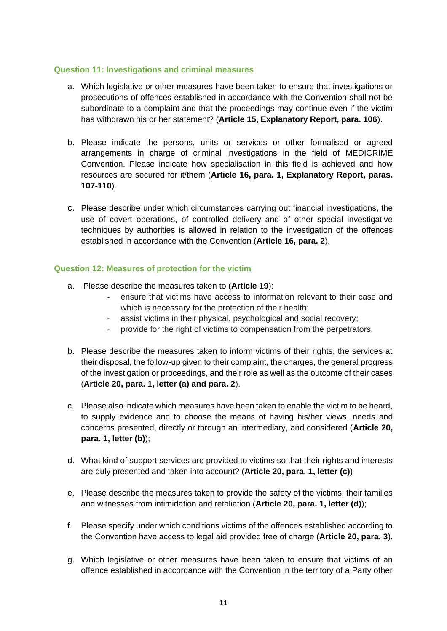### <span id="page-10-0"></span>**Question 11: Investigations and criminal measures**

- a. Which legislative or other measures have been taken to ensure that investigations or prosecutions of offences established in accordance with the Convention shall not be subordinate to a complaint and that the proceedings may continue even if the victim has withdrawn his or her statement? (**Article 15, Explanatory Report, para. 106**).
- b. Please indicate the persons, units or services or other formalised or agreed arrangements in charge of criminal investigations in the field of MEDICRIME Convention. Please indicate how specialisation in this field is achieved and how resources are secured for it/them (**Article 16, para. 1, Explanatory Report, paras. 107-110**).
- c. Please describe under which circumstances carrying out financial investigations, the use of covert operations, of controlled delivery and of other special investigative techniques by authorities is allowed in relation to the investigation of the offences established in accordance with the Convention (**Article 16, para. 2**).

## <span id="page-10-1"></span>**Question 12: Measures of protection for the victim**

- a. Please describe the measures taken to (**Article 19**):
	- ensure that victims have access to information relevant to their case and which is necessary for the protection of their health;
	- assist victims in their physical, psychological and social recovery;
	- provide for the right of victims to compensation from the perpetrators.
- b. Please describe the measures taken to inform victims of their rights, the services at their disposal, the follow-up given to their complaint, the charges, the general progress of the investigation or proceedings, and their role as well as the outcome of their cases (**Article 20, para. 1, letter (a) and para. 2**).
- c. Please also indicate which measures have been taken to enable the victim to be heard, to supply evidence and to choose the means of having his/her views, needs and concerns presented, directly or through an intermediary, and considered (**Article 20, para. 1, letter (b)**);
- d. What kind of support services are provided to victims so that their rights and interests are duly presented and taken into account? (**Article 20, para. 1, letter (c)**)
- e. Please describe the measures taken to provide the safety of the victims, their families and witnesses from intimidation and retaliation (**Article 20, para. 1, letter (d)**);
- f. Please specify under which conditions victims of the offences established according to the Convention have access to legal aid provided free of charge (**Article 20, para. 3**).
- g. Which legislative or other measures have been taken to ensure that victims of an offence established in accordance with the Convention in the territory of a Party other